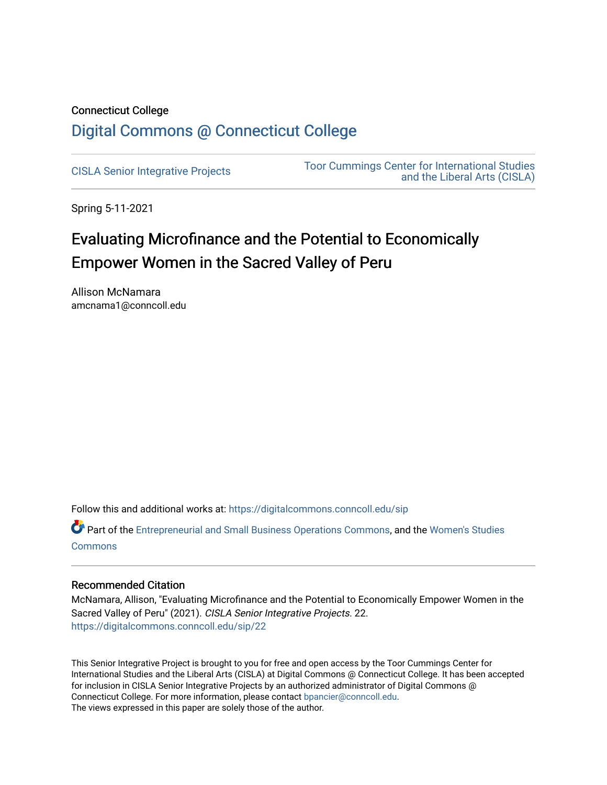# Connecticut College [Digital Commons @ Connecticut College](https://digitalcommons.conncoll.edu/)

[CISLA Senior Integrative Projects](https://digitalcommons.conncoll.edu/sip) [Toor Cummings Center for International Studies](https://digitalcommons.conncoll.edu/cisla)  [and the Liberal Arts \(CISLA\)](https://digitalcommons.conncoll.edu/cisla) 

Spring 5-11-2021

# Evaluating Microfinance and the Potential to Economically Empower Women in the Sacred Valley of Peru

Allison McNamara amcnama1@conncoll.edu

Follow this and additional works at: [https://digitalcommons.conncoll.edu/sip](https://digitalcommons.conncoll.edu/sip?utm_source=digitalcommons.conncoll.edu%2Fsip%2F22&utm_medium=PDF&utm_campaign=PDFCoverPages) 

Part of the [Entrepreneurial and Small Business Operations Commons,](http://network.bepress.com/hgg/discipline/630?utm_source=digitalcommons.conncoll.edu%2Fsip%2F22&utm_medium=PDF&utm_campaign=PDFCoverPages) and the [Women's Studies](http://network.bepress.com/hgg/discipline/561?utm_source=digitalcommons.conncoll.edu%2Fsip%2F22&utm_medium=PDF&utm_campaign=PDFCoverPages) [Commons](http://network.bepress.com/hgg/discipline/561?utm_source=digitalcommons.conncoll.edu%2Fsip%2F22&utm_medium=PDF&utm_campaign=PDFCoverPages)

# Recommended Citation

McNamara, Allison, "Evaluating Microfinance and the Potential to Economically Empower Women in the Sacred Valley of Peru" (2021). CISLA Senior Integrative Projects. 22. [https://digitalcommons.conncoll.edu/sip/22](https://digitalcommons.conncoll.edu/sip/22?utm_source=digitalcommons.conncoll.edu%2Fsip%2F22&utm_medium=PDF&utm_campaign=PDFCoverPages) 

This Senior Integrative Project is brought to you for free and open access by the Toor Cummings Center for International Studies and the Liberal Arts (CISLA) at Digital Commons @ Connecticut College. It has been accepted for inclusion in CISLA Senior Integrative Projects by an authorized administrator of Digital Commons @ Connecticut College. For more information, please contact [bpancier@conncoll.edu.](mailto:bpancier@conncoll.edu) The views expressed in this paper are solely those of the author.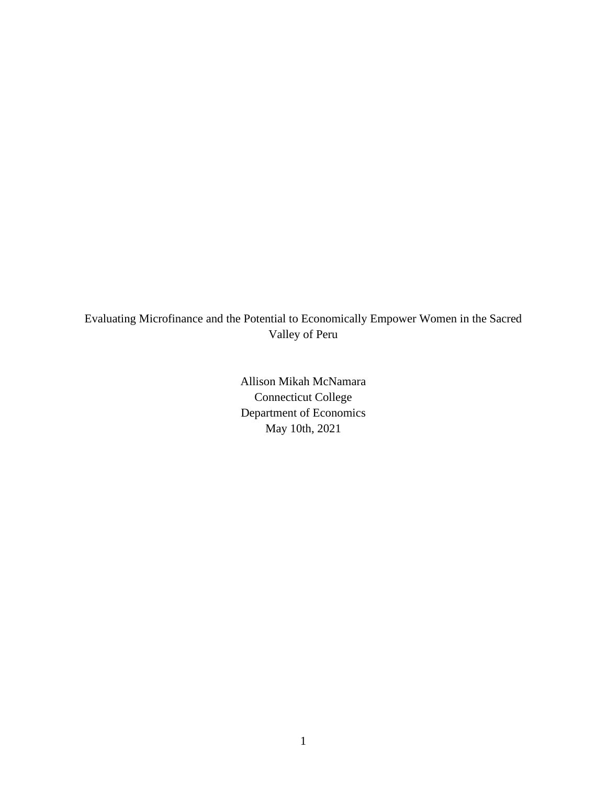Evaluating Microfinance and the Potential to Economically Empower Women in the Sacred Valley of Peru

> Allison Mikah McNamara Connecticut College Department of Economics May 10th, 2021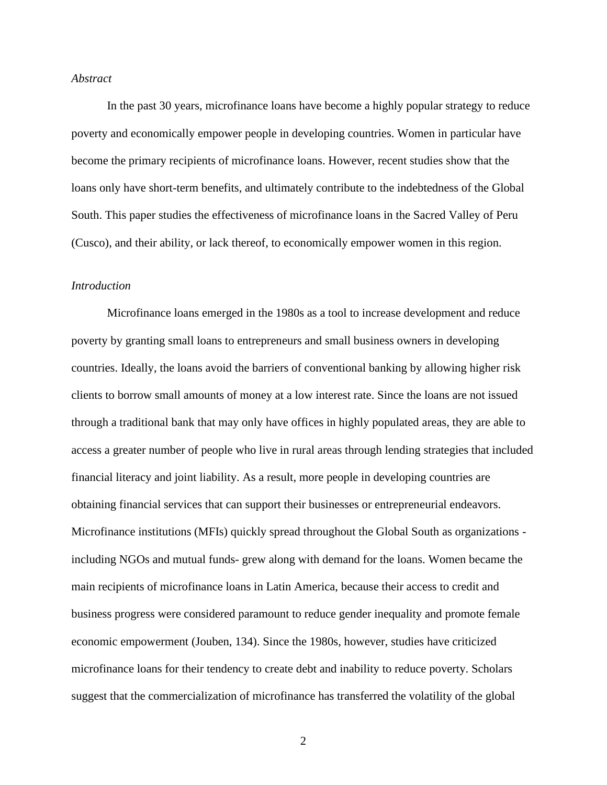# *Abstract*

In the past 30 years, microfinance loans have become a highly popular strategy to reduce poverty and economically empower people in developing countries. Women in particular have become the primary recipients of microfinance loans. However, recent studies show that the loans only have short-term benefits, and ultimately contribute to the indebtedness of the Global South. This paper studies the effectiveness of microfinance loans in the Sacred Valley of Peru (Cusco), and their ability, or lack thereof, to economically empower women in this region.

#### *Introduction*

Microfinance loans emerged in the 1980s as a tool to increase development and reduce poverty by granting small loans to entrepreneurs and small business owners in developing countries. Ideally, the loans avoid the barriers of conventional banking by allowing higher risk clients to borrow small amounts of money at a low interest rate. Since the loans are not issued through a traditional bank that may only have offices in highly populated areas, they are able to access a greater number of people who live in rural areas through lending strategies that included financial literacy and joint liability. As a result, more people in developing countries are obtaining financial services that can support their businesses or entrepreneurial endeavors. Microfinance institutions (MFIs) quickly spread throughout the Global South as organizations including NGOs and mutual funds- grew along with demand for the loans. Women became the main recipients of microfinance loans in Latin America, because their access to credit and business progress were considered paramount to reduce gender inequality and promote female economic empowerment (Jouben, 134). Since the 1980s, however, studies have criticized microfinance loans for their tendency to create debt and inability to reduce poverty. Scholars suggest that the commercialization of microfinance has transferred the volatility of the global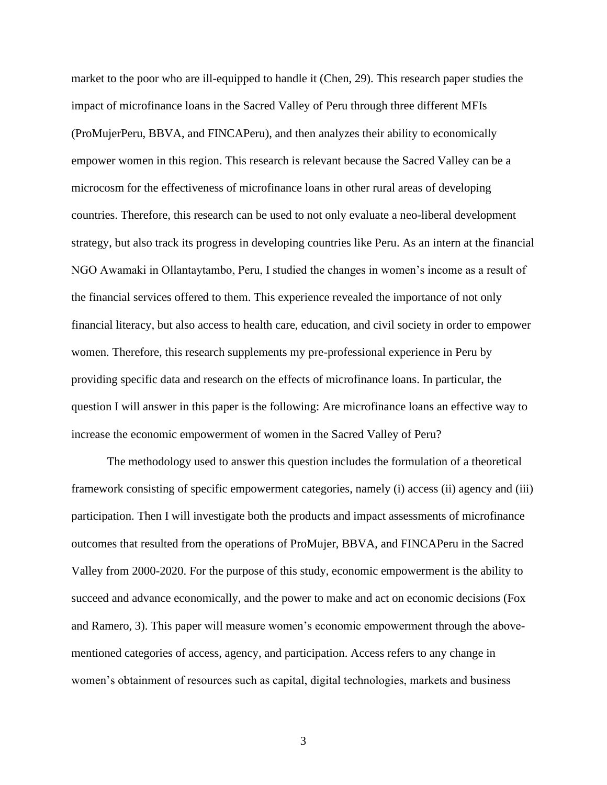market to the poor who are ill-equipped to handle it (Chen, 29). This research paper studies the impact of microfinance loans in the Sacred Valley of Peru through three different MFIs (ProMujerPeru, BBVA, and FINCAPeru), and then analyzes their ability to economically empower women in this region. This research is relevant because the Sacred Valley can be a microcosm for the effectiveness of microfinance loans in other rural areas of developing countries. Therefore, this research can be used to not only evaluate a neo-liberal development strategy, but also track its progress in developing countries like Peru. As an intern at the financial NGO Awamaki in Ollantaytambo, Peru, I studied the changes in women's income as a result of the financial services offered to them. This experience revealed the importance of not only financial literacy, but also access to health care, education, and civil society in order to empower women. Therefore, this research supplements my pre-professional experience in Peru by providing specific data and research on the effects of microfinance loans. In particular, the question I will answer in this paper is the following: Are microfinance loans an effective way to increase the economic empowerment of women in the Sacred Valley of Peru?

The methodology used to answer this question includes the formulation of a theoretical framework consisting of specific empowerment categories, namely (i) access (ii) agency and (iii) participation. Then I will investigate both the products and impact assessments of microfinance outcomes that resulted from the operations of ProMujer, BBVA, and FINCAPeru in the Sacred Valley from 2000-2020. For the purpose of this study, economic empowerment is the ability to succeed and advance economically, and the power to make and act on economic decisions (Fox and Ramero, 3). This paper will measure women's economic empowerment through the abovementioned categories of access, agency, and participation. Access refers to any change in women's obtainment of resources such as capital, digital technologies, markets and business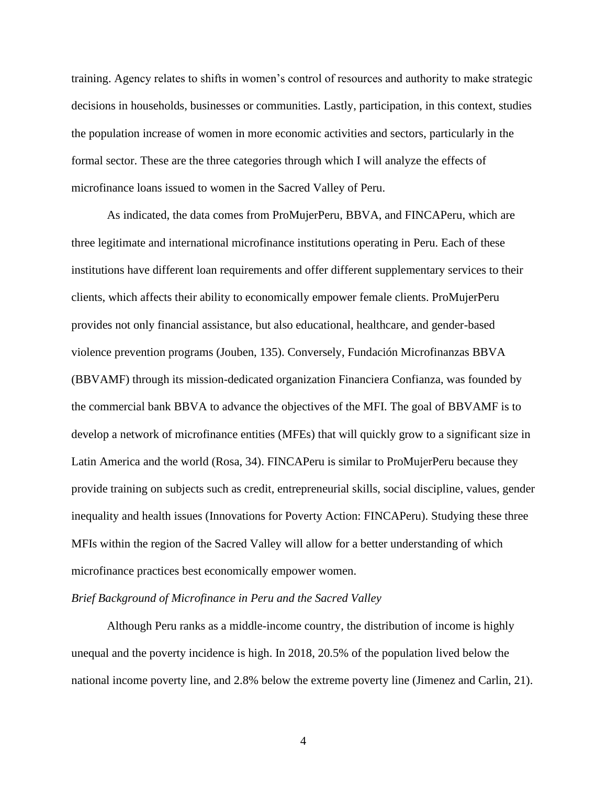training. Agency relates to shifts in women's control of resources and authority to make strategic decisions in households, businesses or communities. Lastly, participation, in this context, studies the population increase of women in more economic activities and sectors, particularly in the formal sector. These are the three categories through which I will analyze the effects of microfinance loans issued to women in the Sacred Valley of Peru.

As indicated, the data comes from ProMujerPeru, BBVA, and FINCAPeru, which are three legitimate and international microfinance institutions operating in Peru. Each of these institutions have different loan requirements and offer different supplementary services to their clients, which affects their ability to economically empower female clients. ProMujerPeru provides not only financial assistance, but also educational, healthcare, and gender-based violence prevention programs (Jouben, 135). Conversely, Fundación Microfinanzas BBVA (BBVAMF) through its mission-dedicated organization Financiera Confianza, was founded by the commercial bank BBVA to advance the objectives of the MFI. The goal of BBVAMF is to develop a network of microfinance entities (MFEs) that will quickly grow to a significant size in Latin America and the world (Rosa, 34). FINCAPeru is similar to ProMujerPeru because they provide training on subjects such as credit, entrepreneurial skills, social discipline, values, gender inequality and health issues (Innovations for Poverty Action: FINCAPeru). Studying these three MFIs within the region of the Sacred Valley will allow for a better understanding of which microfinance practices best economically empower women.

#### *Brief Background of Microfinance in Peru and the Sacred Valley*

Although Peru ranks as a middle-income country, the distribution of income is highly unequal and the poverty incidence is high. In 2018, 20.5% of the population lived below the national income poverty line, and 2.8% below the extreme poverty line (Jimenez and Carlin, 21).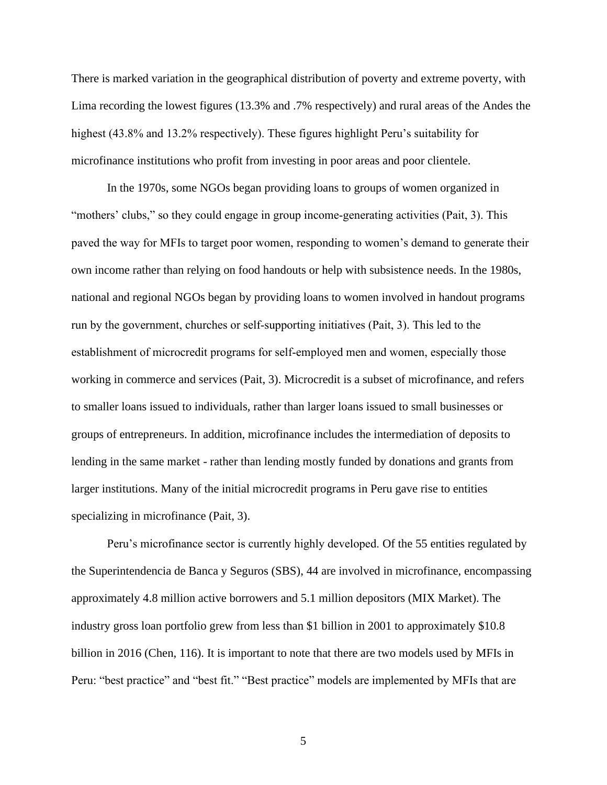There is marked variation in the geographical distribution of poverty and extreme poverty, with Lima recording the lowest figures (13.3% and .7% respectively) and rural areas of the Andes the highest (43.8% and 13.2% respectively). These figures highlight Peru's suitability for microfinance institutions who profit from investing in poor areas and poor clientele.

In the 1970s, some NGOs began providing loans to groups of women organized in "mothers' clubs," so they could engage in group income-generating activities (Pait, 3). This paved the way for MFIs to target poor women, responding to women's demand to generate their own income rather than relying on food handouts or help with subsistence needs. In the 1980s, national and regional NGOs began by providing loans to women involved in handout programs run by the government, churches or self‐supporting initiatives (Pait, 3). This led to the establishment of microcredit programs for self-employed men and women, especially those working in commerce and services (Pait, 3). Microcredit is a subset of microfinance, and refers to smaller loans issued to individuals, rather than larger loans issued to small businesses or groups of entrepreneurs. In addition, microfinance includes the intermediation of deposits to lending in the same market - rather than lending mostly funded by donations and grants from larger institutions. Many of the initial microcredit programs in Peru gave rise to entities specializing in microfinance (Pait, 3).

Peru's microfinance sector is currently highly developed. Of the 55 entities regulated by the Superintendencia de Banca y Seguros (SBS), 44 are involved in microfinance, encompassing approximately 4.8 million active borrowers and 5.1 million depositors (MIX Market). The industry gross loan portfolio grew from less than \$1 billion in 2001 to approximately \$10.8 billion in 2016 (Chen, 116). It is important to note that there are two models used by MFIs in Peru: "best practice" and "best fit." "Best practice" models are implemented by MFIs that are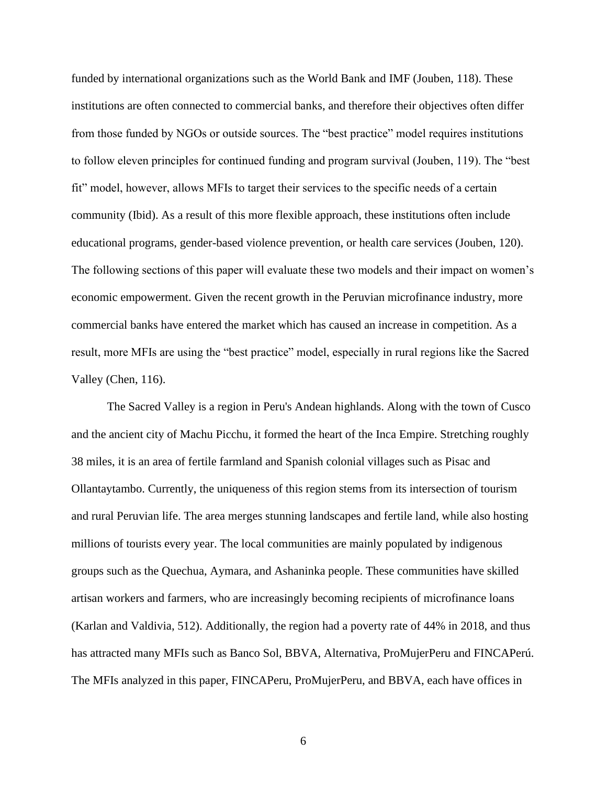funded by international organizations such as the World Bank and IMF (Jouben, 118). These institutions are often connected to commercial banks, and therefore their objectives often differ from those funded by NGOs or outside sources. The "best practice" model requires institutions to follow eleven principles for continued funding and program survival (Jouben, 119). The "best fit" model, however, allows MFIs to target their services to the specific needs of a certain community (Ibid). As a result of this more flexible approach, these institutions often include educational programs, gender-based violence prevention, or health care services (Jouben, 120). The following sections of this paper will evaluate these two models and their impact on women's economic empowerment. Given the recent growth in the Peruvian microfinance industry, more commercial banks have entered the market which has caused an increase in competition. As a result, more MFIs are using the "best practice" model, especially in rural regions like the Sacred Valley (Chen, 116).

The Sacred Valley is a region in Peru's Andean highlands. Along with the town of Cusco and the ancient city of Machu Picchu, it formed the heart of the Inca Empire. Stretching roughly 38 miles, it is an area of fertile farmland and Spanish colonial villages such as Pisac and Ollantaytambo. Currently, the uniqueness of this region stems from its intersection of tourism and rural Peruvian life. The area merges stunning landscapes and fertile land, while also hosting millions of tourists every year. The local communities are mainly populated by indigenous groups such as the Quechua, Aymara, and Ashaninka people. These communities have skilled artisan workers and farmers, who are increasingly becoming recipients of microfinance loans (Karlan and Valdivia, 512). Additionally, the region had a poverty rate of 44% in 2018, and thus has attracted many MFIs such as Banco Sol, BBVA, Alternativa, ProMujerPeru and FINCAPerú. The MFIs analyzed in this paper, FINCAPeru, ProMujerPeru, and BBVA, each have offices in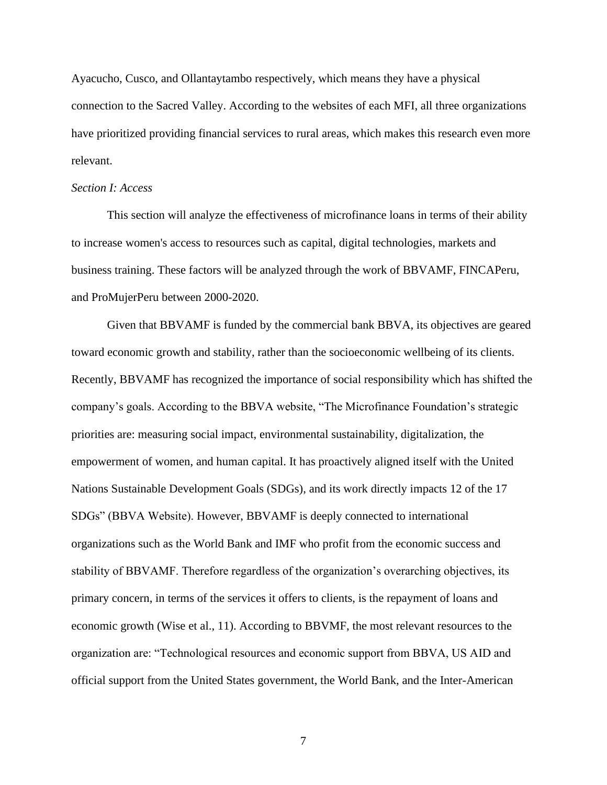Ayacucho, Cusco, and Ollantaytambo respectively, which means they have a physical connection to the Sacred Valley. According to the websites of each MFI, all three organizations have prioritized providing financial services to rural areas, which makes this research even more relevant.

#### *Section I: Access*

This section will analyze the effectiveness of microfinance loans in terms of their ability to increase women's access to resources such as capital, digital technologies, markets and business training. These factors will be analyzed through the work of BBVAMF, FINCAPeru, and ProMujerPeru between 2000-2020.

Given that BBVAMF is funded by the commercial bank BBVA, its objectives are geared toward economic growth and stability, rather than the socioeconomic wellbeing of its clients. Recently, BBVAMF has recognized the importance of social responsibility which has shifted the company's goals. According to the BBVA website, "The Microfinance Foundation's strategic priorities are: measuring social impact, environmental sustainability, digitalization, the empowerment of women, and human capital. It has proactively aligned itself with the United Nations Sustainable Development Goals (SDGs), and its work directly impacts 12 of the 17 SDGs" (BBVA Website). However, BBVAMF is deeply connected to international organizations such as the World Bank and IMF who profit from the economic success and stability of BBVAMF. Therefore regardless of the organization's overarching objectives, its primary concern, in terms of the services it offers to clients, is the repayment of loans and economic growth (Wise et al., 11). According to BBVMF, the most relevant resources to the organization are: "Technological resources and economic support from BBVA, US AID and official support from the United States government, the World Bank, and the Inter-American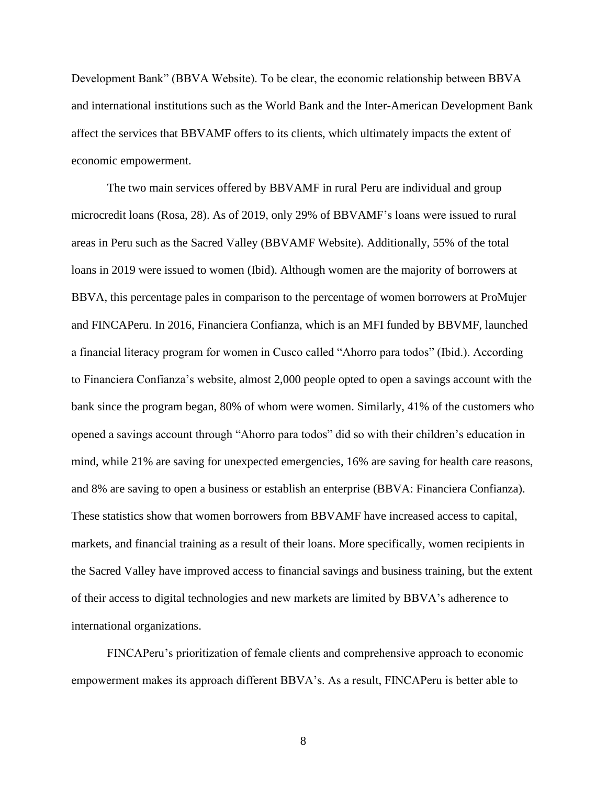Development Bank" (BBVA Website). To be clear, the economic relationship between BBVA and international institutions such as the World Bank and the Inter-American Development Bank affect the services that BBVAMF offers to its clients, which ultimately impacts the extent of economic empowerment.

The two main services offered by BBVAMF in rural Peru are individual and group microcredit loans (Rosa, 28). As of 2019, only 29% of BBVAMF's loans were issued to rural areas in Peru such as the Sacred Valley (BBVAMF Website). Additionally, 55% of the total loans in 2019 were issued to women (Ibid). Although women are the majority of borrowers at BBVA, this percentage pales in comparison to the percentage of women borrowers at ProMujer and FINCAPeru. In 2016, Financiera Confianza, which is an MFI funded by BBVMF, launched a financial literacy program for women in Cusco called "Ahorro para todos" (Ibid.). According to Financiera Confianza's website, almost 2,000 people opted to open a savings account with the bank since the program began, 80% of whom were women. Similarly, 41% of the customers who opened a savings account through "Ahorro para todos" did so with their children's education in mind, while 21% are saving for unexpected emergencies, 16% are saving for health care reasons, and 8% are saving to open a business or establish an enterprise (BBVA: Financiera Confianza). These statistics show that women borrowers from BBVAMF have increased access to capital, markets, and financial training as a result of their loans. More specifically, women recipients in the Sacred Valley have improved access to financial savings and business training, but the extent of their access to digital technologies and new markets are limited by BBVA's adherence to international organizations.

FINCAPeru's prioritization of female clients and comprehensive approach to economic empowerment makes its approach different BBVA's. As a result, FINCAPeru is better able to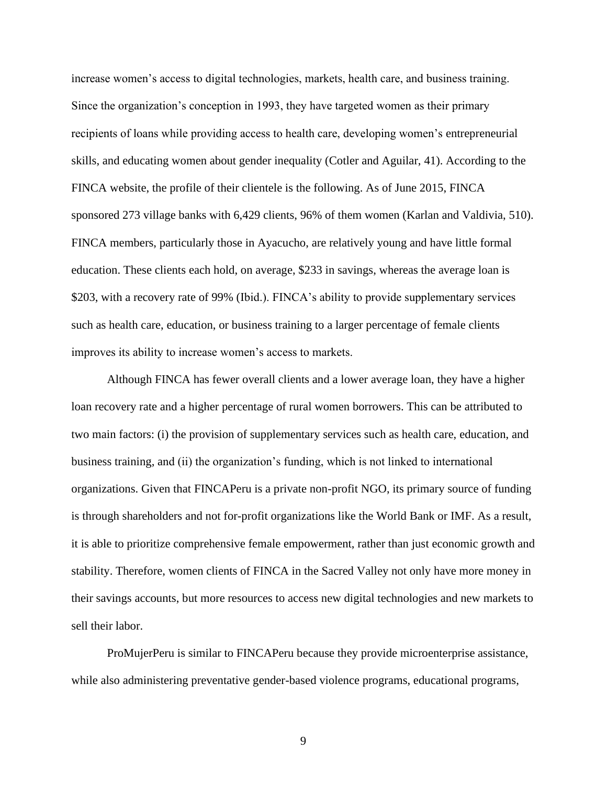increase women's access to digital technologies, markets, health care, and business training. Since the organization's conception in 1993, they have targeted women as their primary recipients of loans while providing access to health care, developing women's entrepreneurial skills, and educating women about gender inequality (Cotler and Aguilar, 41). According to the FINCA website, the profile of their clientele is the following. As of June 2015, FINCA sponsored 273 village banks with 6,429 clients, 96% of them women (Karlan and Valdivia, 510). FINCA members, particularly those in Ayacucho, are relatively young and have little formal education. These clients each hold, on average, \$233 in savings, whereas the average loan is \$203, with a recovery rate of 99% (Ibid.). FINCA's ability to provide supplementary services such as health care, education, or business training to a larger percentage of female clients improves its ability to increase women's access to markets.

Although FINCA has fewer overall clients and a lower average loan, they have a higher loan recovery rate and a higher percentage of rural women borrowers. This can be attributed to two main factors: (i) the provision of supplementary services such as health care, education, and business training, and (ii) the organization's funding, which is not linked to international organizations. Given that FINCAPeru is a private non-profit NGO, its primary source of funding is through shareholders and not for-profit organizations like the World Bank or IMF. As a result, it is able to prioritize comprehensive female empowerment, rather than just economic growth and stability. Therefore, women clients of FINCA in the Sacred Valley not only have more money in their savings accounts, but more resources to access new digital technologies and new markets to sell their labor.

ProMujerPeru is similar to FINCAPeru because they provide microenterprise assistance, while also administering preventative gender-based violence programs, educational programs,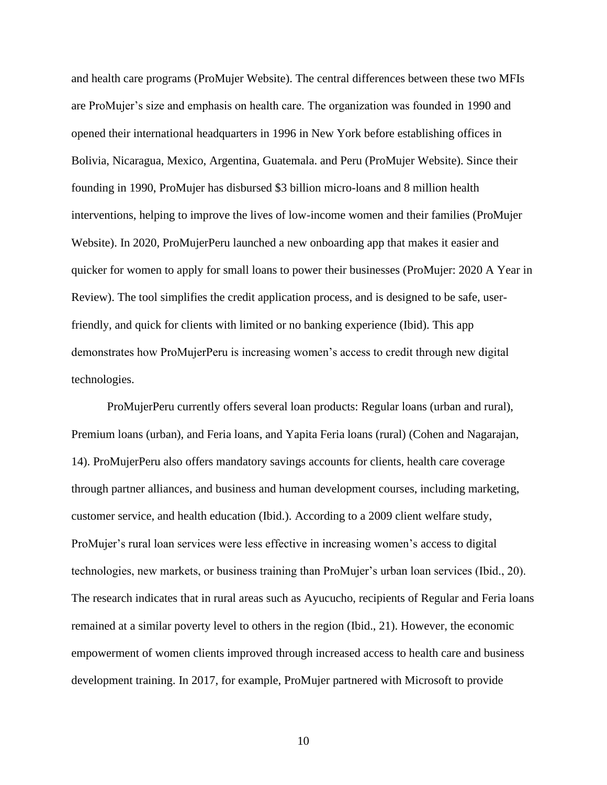and health care programs (ProMujer Website). The central differences between these two MFIs are ProMujer's size and emphasis on health care. The organization was founded in 1990 and opened their international headquarters in 1996 in New York before establishing offices in Bolivia, Nicaragua, Mexico, Argentina, Guatemala. and Peru (ProMujer Website). Since their founding in 1990, ProMujer has disbursed \$3 billion micro-loans and 8 million health interventions, helping to improve the lives of low-income women and their families (ProMujer Website). In 2020, ProMujerPeru launched a new onboarding app that makes it easier and quicker for women to apply for small loans to power their businesses (ProMujer: 2020 A Year in Review). The tool simplifies the credit application process, and is designed to be safe, userfriendly, and quick for clients with limited or no banking experience (Ibid). This app demonstrates how ProMujerPeru is increasing women's access to credit through new digital technologies.

ProMujerPeru currently offers several loan products: Regular loans (urban and rural), Premium loans (urban), and Feria loans, and Yapita Feria loans (rural) (Cohen and Nagarajan, 14). ProMujerPeru also offers mandatory savings accounts for clients, health care coverage through partner alliances, and business and human development courses, including marketing, customer service, and health education (Ibid.). According to a 2009 client welfare study, ProMujer's rural loan services were less effective in increasing women's access to digital technologies, new markets, or business training than ProMujer's urban loan services (Ibid., 20). The research indicates that in rural areas such as Ayucucho, recipients of Regular and Feria loans remained at a similar poverty level to others in the region (Ibid., 21). However, the economic empowerment of women clients improved through increased access to health care and business development training. In 2017, for example, ProMujer partnered with Microsoft to provide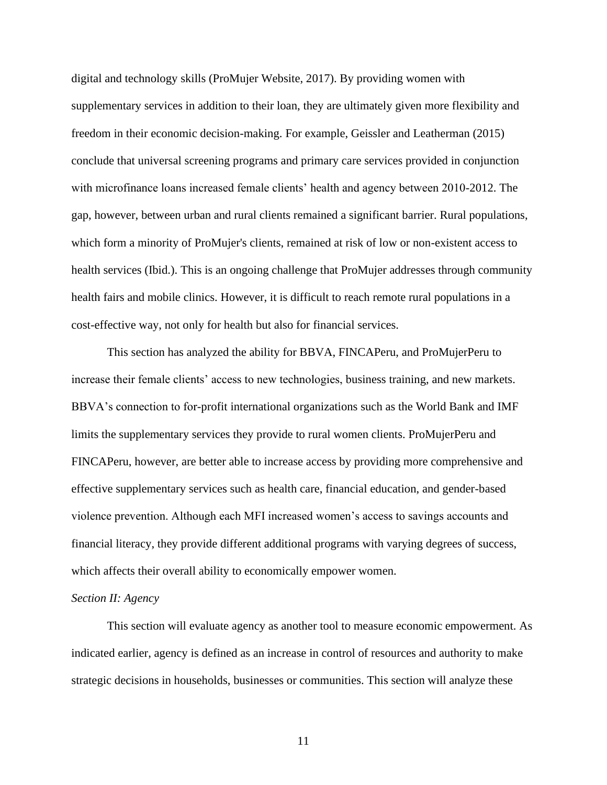digital and technology skills (ProMujer Website, 2017). By providing women with supplementary services in addition to their loan, they are ultimately given more flexibility and freedom in their economic decision-making. For example, Geissler and Leatherman (2015) conclude that universal screening programs and primary care services provided in conjunction with microfinance loans increased female clients' health and agency between 2010-2012. The gap, however, between urban and rural clients remained a significant barrier. Rural populations, which form a minority of ProMujer's clients, remained at risk of low or non-existent access to health services (Ibid.). This is an ongoing challenge that ProMujer addresses through community health fairs and mobile clinics. However, it is difficult to reach remote rural populations in a cost-effective way, not only for health but also for financial services.

This section has analyzed the ability for BBVA, FINCAPeru, and ProMujerPeru to increase their female clients' access to new technologies, business training, and new markets. BBVA's connection to for-profit international organizations such as the World Bank and IMF limits the supplementary services they provide to rural women clients. ProMujerPeru and FINCAPeru, however, are better able to increase access by providing more comprehensive and effective supplementary services such as health care, financial education, and gender-based violence prevention. Although each MFI increased women's access to savings accounts and financial literacy, they provide different additional programs with varying degrees of success, which affects their overall ability to economically empower women.

#### *Section II: Agency*

This section will evaluate agency as another tool to measure economic empowerment. As indicated earlier, agency is defined as an increase in control of resources and authority to make strategic decisions in households, businesses or communities. This section will analyze these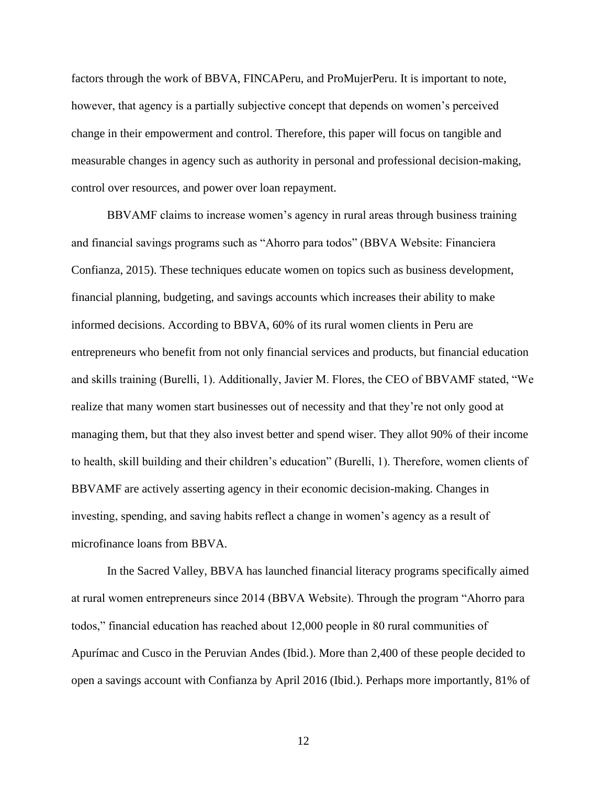factors through the work of BBVA, FINCAPeru, and ProMujerPeru. It is important to note, however, that agency is a partially subjective concept that depends on women's perceived change in their empowerment and control. Therefore, this paper will focus on tangible and measurable changes in agency such as authority in personal and professional decision-making, control over resources, and power over loan repayment.

BBVAMF claims to increase women's agency in rural areas through business training and financial savings programs such as "Ahorro para todos" (BBVA Website: Financiera Confianza, 2015). These techniques educate women on topics such as business development, financial planning, budgeting, and savings accounts which increases their ability to make informed decisions. According to BBVA, 60% of its rural women clients in Peru are entrepreneurs who benefit from not only financial services and products, but financial education and skills training (Burelli, 1). Additionally, Javier M. Flores, the CEO of BBVAMF stated, "We realize that many women start businesses out of necessity and that they're not only good at managing them, but that they also invest better and spend wiser. They allot 90% of their income to health, skill building and their children's education" (Burelli, 1). Therefore, women clients of BBVAMF are actively asserting agency in their economic decision-making. Changes in investing, spending, and saving habits reflect a change in women's agency as a result of microfinance loans from BBVA.

In the Sacred Valley, BBVA has launched financial literacy programs specifically aimed at rural women entrepreneurs since 2014 (BBVA Website). Through the program "Ahorro para todos," financial education has reached about 12,000 people in 80 rural communities of Apurímac and Cusco in the Peruvian Andes (Ibid.). More than 2,400 of these people decided to open a savings account with Confianza by April 2016 (Ibid.). Perhaps more importantly, 81% of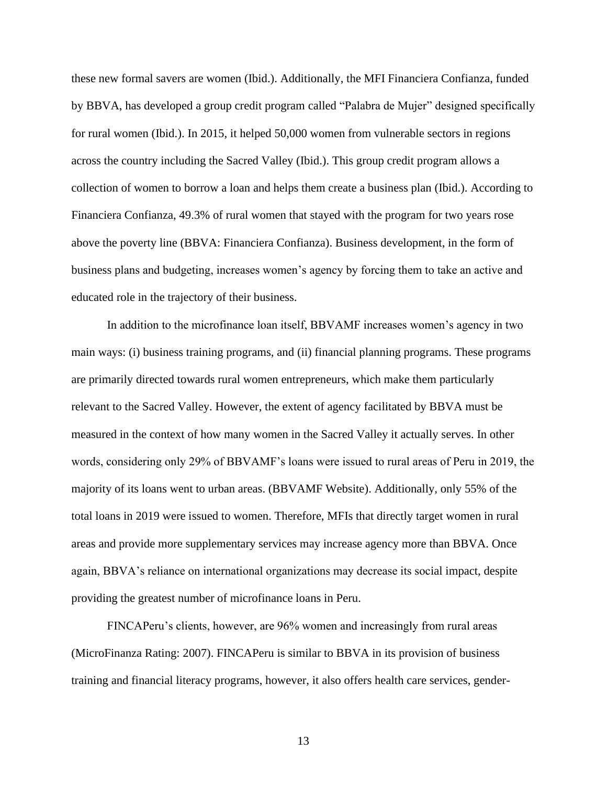these new formal savers are women (Ibid.). Additionally, the MFI Financiera Confianza, funded by BBVA, has developed a group credit program called "Palabra de Mujer" designed specifically for rural women (Ibid.). In 2015, it helped 50,000 women from vulnerable sectors in regions across the country including the Sacred Valley (Ibid.). This group credit program allows a collection of women to borrow a loan and helps them create a business plan (Ibid.). According to Financiera Confianza, 49.3% of rural women that stayed with the program for two years rose above the poverty line (BBVA: Financiera Confianza). Business development, in the form of business plans and budgeting, increases women's agency by forcing them to take an active and educated role in the trajectory of their business.

In addition to the microfinance loan itself, BBVAMF increases women's agency in two main ways: (i) business training programs, and (ii) financial planning programs. These programs are primarily directed towards rural women entrepreneurs, which make them particularly relevant to the Sacred Valley. However, the extent of agency facilitated by BBVA must be measured in the context of how many women in the Sacred Valley it actually serves. In other words, considering only 29% of BBVAMF's loans were issued to rural areas of Peru in 2019, the majority of its loans went to urban areas. (BBVAMF Website). Additionally, only 55% of the total loans in 2019 were issued to women. Therefore, MFIs that directly target women in rural areas and provide more supplementary services may increase agency more than BBVA. Once again, BBVA's reliance on international organizations may decrease its social impact, despite providing the greatest number of microfinance loans in Peru.

FINCAPeru's clients, however, are 96% women and increasingly from rural areas (MicroFinanza Rating: 2007). FINCAPeru is similar to BBVA in its provision of business training and financial literacy programs, however, it also offers health care services, gender-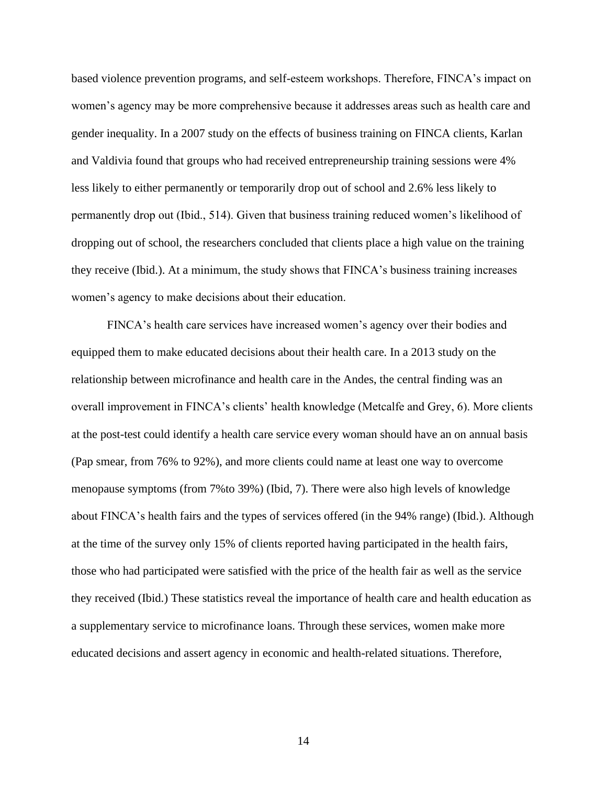based violence prevention programs, and self-esteem workshops. Therefore, FINCA's impact on women's agency may be more comprehensive because it addresses areas such as health care and gender inequality. In a 2007 study on the effects of business training on FINCA clients, Karlan and Valdivia found that groups who had received entrepreneurship training sessions were 4% less likely to either permanently or temporarily drop out of school and 2.6% less likely to permanently drop out (Ibid., 514). Given that business training reduced women's likelihood of dropping out of school, the researchers concluded that clients place a high value on the training they receive (Ibid.). At a minimum, the study shows that FINCA's business training increases women's agency to make decisions about their education.

FINCA's health care services have increased women's agency over their bodies and equipped them to make educated decisions about their health care. In a 2013 study on the relationship between microfinance and health care in the Andes, the central finding was an overall improvement in FINCA's clients' health knowledge (Metcalfe and Grey, 6). More clients at the post-test could identify a health care service every woman should have an on annual basis (Pap smear, from 76% to 92%), and more clients could name at least one way to overcome menopause symptoms (from 7%to 39%) (Ibid, 7). There were also high levels of knowledge about FINCA's health fairs and the types of services offered (in the 94% range) (Ibid.). Although at the time of the survey only 15% of clients reported having participated in the health fairs, those who had participated were satisfied with the price of the health fair as well as the service they received (Ibid.) These statistics reveal the importance of health care and health education as a supplementary service to microfinance loans. Through these services, women make more educated decisions and assert agency in economic and health-related situations. Therefore,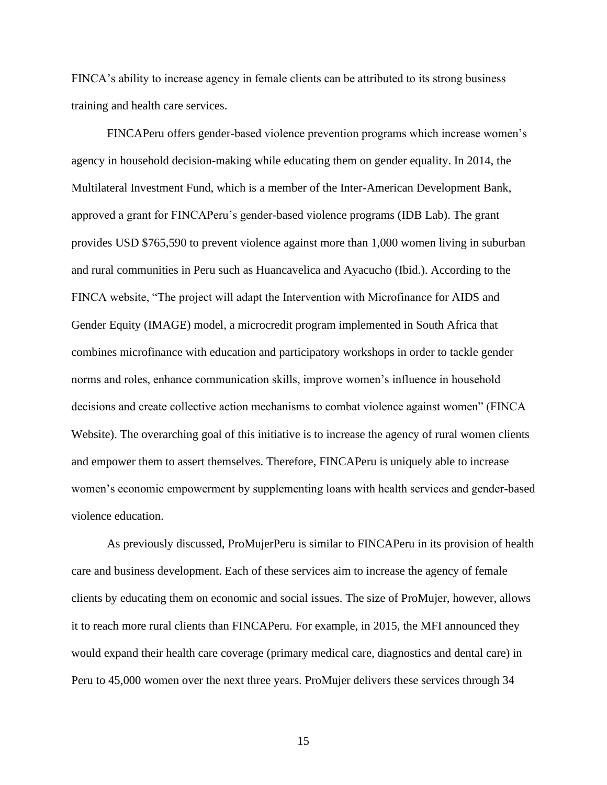FINCA's ability to increase agency in female clients can be attributed to its strong business training and health care services.

FINCAPeru offers gender-based violence prevention programs which increase women's agency in household decision-making while educating them on gender equality. In 2014, the Multilateral Investment Fund, which is a member of the Inter-American Development Bank, approved a grant for FINCAPeru's gender-based violence programs (IDB Lab). The grant provides USD \$765,590 to prevent violence against more than 1,000 women living in suburban and rural communities in Peru such as Huancavelica and Ayacucho (Ibid.). According to the FINCA website, "The project will adapt the Intervention with Microfinance for AIDS and Gender Equity [\(IMAGE\)](http://www.aidstar-one.com/sites/default/files/promising_practices/g3p_docs/Intimite_partner_violence.pdf) model, a microcredit program implemented in South Africa that combines microfinance with education and participatory workshops in order to tackle gender norms and roles, enhance communication skills, improve women's influence in household decisions and create collective action mechanisms to combat violence against women" (FINCA Website). The overarching goal of this initiative is to increase the agency of rural women clients and empower them to assert themselves. Therefore, FINCAPeru is uniquely able to increase women's economic empowerment by supplementing loans with health services and gender-based violence education.

As previously discussed, ProMujerPeru is similar to FINCAPeru in its provision of health care and business development. Each of these services aim to increase the agency of female clients by educating them on economic and social issues. The size of ProMujer, however, allows it to reach more rural clients than FINCAPeru. For example, in 2015, the MFI announced they would expand their health care coverage (primary medical care, diagnostics and dental care) in Peru to 45,000 women over the next three years. ProMujer delivers these services through 34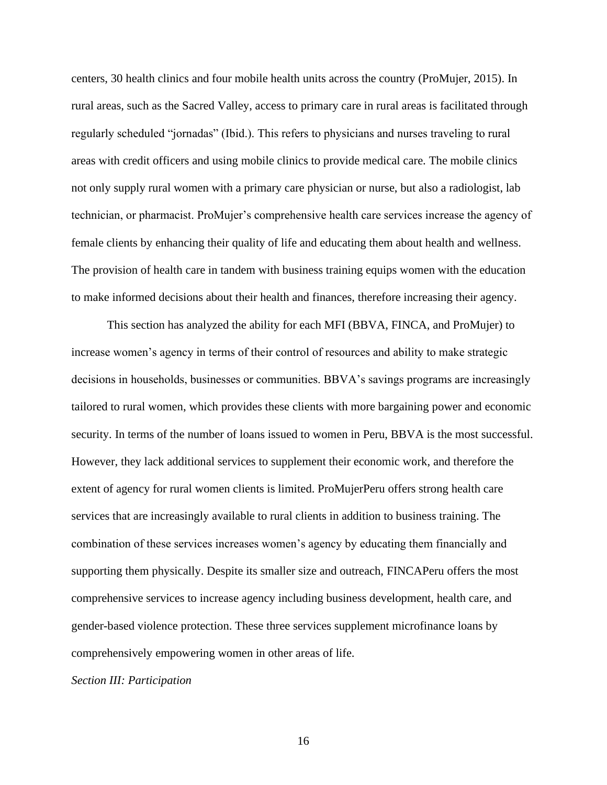centers, 30 health clinics and four mobile health units across the country (ProMujer, 2015). In rural areas, such as the Sacred Valley, access to primary care in rural areas is facilitated through regularly scheduled "jornadas" (Ibid.). This refers to physicians and nurses traveling to rural areas with credit officers and using mobile clinics to provide medical care. The mobile clinics not only supply rural women with a primary care physician or nurse, but also a radiologist, lab technician, or pharmacist. ProMujer's comprehensive health care services increase the agency of female clients by enhancing their quality of life and educating them about health and wellness. The provision of health care in tandem with business training equips women with the education to make informed decisions about their health and finances, therefore increasing their agency.

This section has analyzed the ability for each MFI (BBVA, FINCA, and ProMujer) to increase women's agency in terms of their control of resources and ability to make strategic decisions in households, businesses or communities. BBVA's savings programs are increasingly tailored to rural women, which provides these clients with more bargaining power and economic security. In terms of the number of loans issued to women in Peru, BBVA is the most successful. However, they lack additional services to supplement their economic work, and therefore the extent of agency for rural women clients is limited. ProMujerPeru offers strong health care services that are increasingly available to rural clients in addition to business training. The combination of these services increases women's agency by educating them financially and supporting them physically. Despite its smaller size and outreach, FINCAPeru offers the most comprehensive services to increase agency including business development, health care, and gender-based violence protection. These three services supplement microfinance loans by comprehensively empowering women in other areas of life.

*Section III: Participation*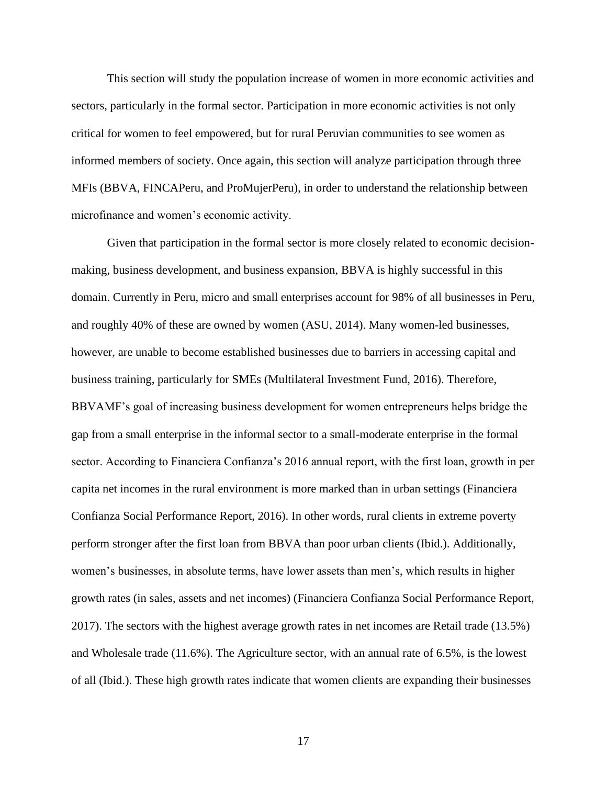This section will study the population increase of women in more economic activities and sectors, particularly in the formal sector. Participation in more economic activities is not only critical for women to feel empowered, but for rural Peruvian communities to see women as informed members of society. Once again, this section will analyze participation through three MFIs (BBVA, FINCAPeru, and ProMujerPeru), in order to understand the relationship between microfinance and women's economic activity.

Given that participation in the formal sector is more closely related to economic decisionmaking, business development, and business expansion, BBVA is highly successful in this domain. Currently in Peru, micro and small enterprises account for 98% of all businesses in Peru, and roughly 40% of these are owned by women (ASU, 2014). Many women-led businesses, however, are unable to become established businesses due to barriers in accessing capital and business training, particularly for SMEs (Multilateral Investment Fund, 2016). Therefore, BBVAMF's goal of increasing business development for women entrepreneurs helps bridge the gap from a small enterprise in the informal sector to a small-moderate enterprise in the formal sector. According to Financiera Confianza's 2016 annual report, with the first loan, growth in per capita net incomes in the rural environment is more marked than in urban settings (Financiera Confianza Social Performance Report, 2016). In other words, rural clients in extreme poverty perform stronger after the first loan from BBVA than poor urban clients (Ibid.). Additionally, women's businesses, in absolute terms, have lower assets than men's, which results in higher growth rates (in sales, assets and net incomes) (Financiera Confianza Social Performance Report, 2017). The sectors with the highest average growth rates in net incomes are Retail trade (13.5%) and Wholesale trade (11.6%). The Agriculture sector, with an annual rate of 6.5%, is the lowest of all (Ibid.). These high growth rates indicate that women clients are expanding their businesses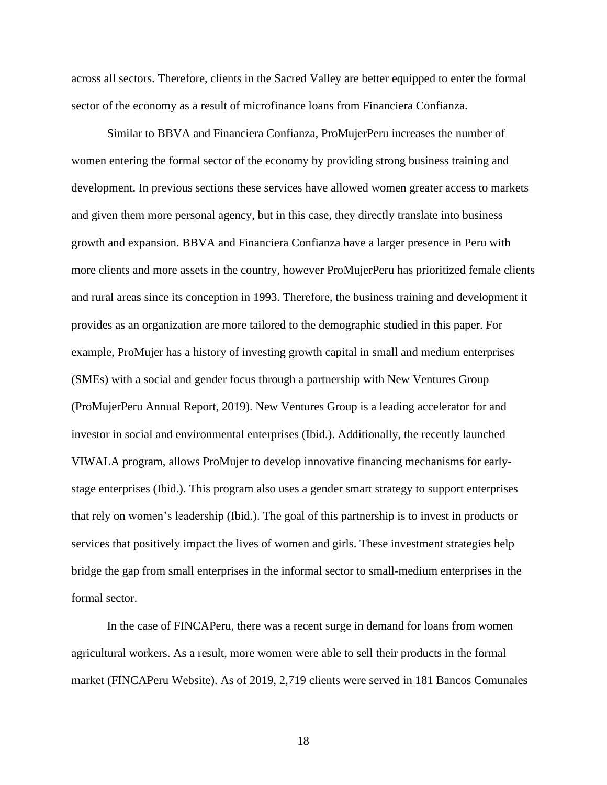across all sectors. Therefore, clients in the Sacred Valley are better equipped to enter the formal sector of the economy as a result of microfinance loans from Financiera Confianza.

Similar to BBVA and Financiera Confianza, ProMujerPeru increases the number of women entering the formal sector of the economy by providing strong business training and development. In previous sections these services have allowed women greater access to markets and given them more personal agency, but in this case, they directly translate into business growth and expansion. BBVA and Financiera Confianza have a larger presence in Peru with more clients and more assets in the country, however ProMujerPeru has prioritized female clients and rural areas since its conception in 1993. Therefore, the business training and development it provides as an organization are more tailored to the demographic studied in this paper. For example, ProMujer has a history of investing growth capital in small and medium enterprises (SMEs) with a social and gender focus through a partnership with New Ventures Group (ProMujerPeru Annual Report, 2019). New Ventures Group is a leading accelerator for and investor in social and environmental enterprises (Ibid.). Additionally, the recently launched VIWALA program, allows ProMujer to develop innovative financing mechanisms for earlystage enterprises (Ibid.). This program also uses a gender smart strategy to support enterprises that rely on women's leadership (Ibid.). The goal of this partnership is to invest in products or services that positively impact the lives of women and girls. These investment strategies help bridge the gap from small enterprises in the informal sector to small-medium enterprises in the formal sector.

In the case of FINCAPeru, there was a recent surge in demand for loans from women agricultural workers. As a result, more women were able to sell their products in the formal market (FINCAPeru Website). As of 2019, 2,719 clients were served in 181 Bancos Comunales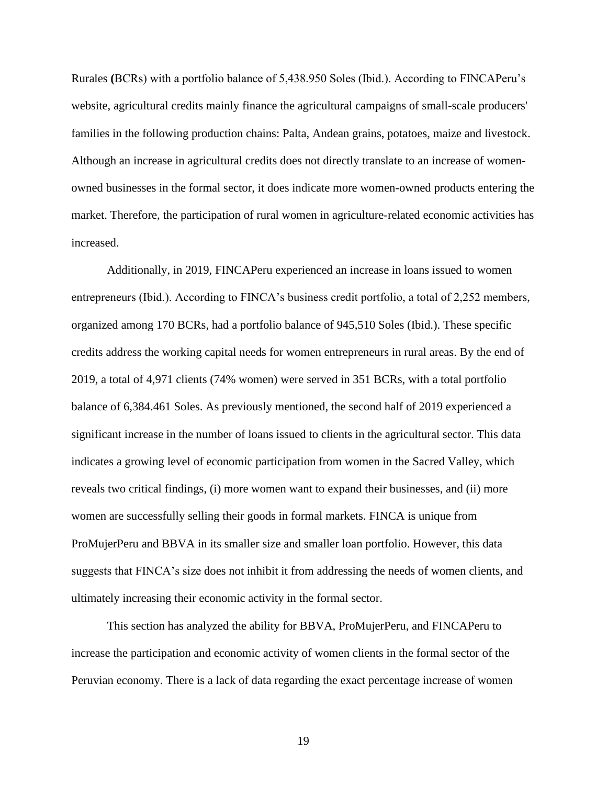Rurales **(**BCRs) with a portfolio balance of 5,438.950 Soles (Ibid.). According to FINCAPeru's website, agricultural credits mainly finance the agricultural campaigns of small-scale producers' families in the following production chains: Palta, Andean grains, potatoes, maize and livestock. Although an increase in agricultural credits does not directly translate to an increase of womenowned businesses in the formal sector, it does indicate more women-owned products entering the market. Therefore, the participation of rural women in agriculture-related economic activities has increased.

Additionally, in 2019, FINCAPeru experienced an increase in loans issued to women entrepreneurs (Ibid.). According to FINCA's business credit portfolio, a total of 2,252 members, organized among 170 BCRs, had a portfolio balance of 945,510 Soles (Ibid.). These specific credits address the working capital needs for women entrepreneurs in rural areas. By the end of 2019, a total of 4,971 clients (74% women) were served in 351 BCRs, with a total portfolio balance of 6,384.461 Soles. As previously mentioned, the second half of 2019 experienced a significant increase in the number of loans issued to clients in the agricultural sector. This data indicates a growing level of economic participation from women in the Sacred Valley, which reveals two critical findings, (i) more women want to expand their businesses, and (ii) more women are successfully selling their goods in formal markets. FINCA is unique from ProMujerPeru and BBVA in its smaller size and smaller loan portfolio. However, this data suggests that FINCA's size does not inhibit it from addressing the needs of women clients, and ultimately increasing their economic activity in the formal sector.

This section has analyzed the ability for BBVA, ProMujerPeru, and FINCAPeru to increase the participation and economic activity of women clients in the formal sector of the Peruvian economy. There is a lack of data regarding the exact percentage increase of women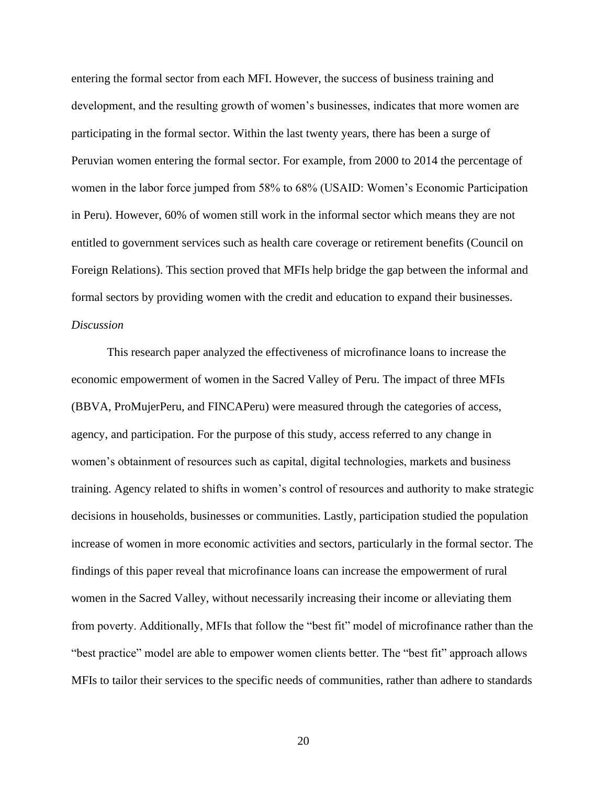entering the formal sector from each MFI. However, the success of business training and development, and the resulting growth of women's businesses, indicates that more women are participating in the formal sector. Within the last twenty years, there has been a surge of Peruvian women entering the formal sector. For example, from 2000 to 2014 the percentage of women in the labor force jumped from 58% to 68% (USAID: Women's Economic Participation in Peru). However, 60% of women still work in the informal sector which means they are not entitled to government services such as health care coverage or retirement benefits (Council on Foreign Relations). This section proved that MFIs help bridge the gap between the informal and formal sectors by providing women with the credit and education to expand their businesses. *Discussion*

This research paper analyzed the effectiveness of microfinance loans to increase the economic empowerment of women in the Sacred Valley of Peru. The impact of three MFIs (BBVA, ProMujerPeru, and FINCAPeru) were measured through the categories of access, agency, and participation. For the purpose of this study, access referred to any change in women's obtainment of resources such as capital, digital technologies, markets and business training. Agency related to shifts in women's control of resources and authority to make strategic decisions in households, businesses or communities. Lastly, participation studied the population increase of women in more economic activities and sectors, particularly in the formal sector. The findings of this paper reveal that microfinance loans can increase the empowerment of rural women in the Sacred Valley, without necessarily increasing their income or alleviating them from poverty. Additionally, MFIs that follow the "best fit" model of microfinance rather than the "best practice" model are able to empower women clients better. The "best fit" approach allows MFIs to tailor their services to the specific needs of communities, rather than adhere to standards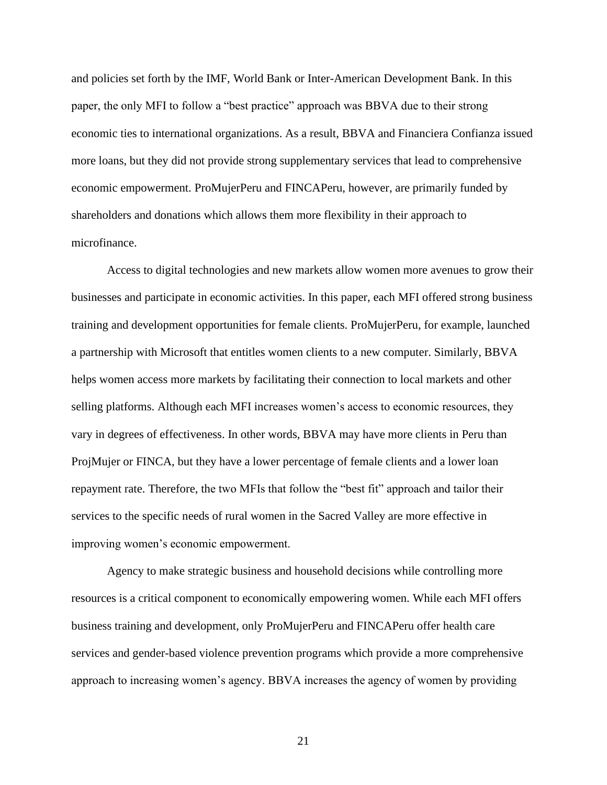and policies set forth by the IMF, World Bank or Inter-American Development Bank. In this paper, the only MFI to follow a "best practice" approach was BBVA due to their strong economic ties to international organizations. As a result, BBVA and Financiera Confianza issued more loans, but they did not provide strong supplementary services that lead to comprehensive economic empowerment. ProMujerPeru and FINCAPeru, however, are primarily funded by shareholders and donations which allows them more flexibility in their approach to microfinance.

Access to digital technologies and new markets allow women more avenues to grow their businesses and participate in economic activities. In this paper, each MFI offered strong business training and development opportunities for female clients. ProMujerPeru, for example, launched a partnership with Microsoft that entitles women clients to a new computer. Similarly, BBVA helps women access more markets by facilitating their connection to local markets and other selling platforms. Although each MFI increases women's access to economic resources, they vary in degrees of effectiveness. In other words, BBVA may have more clients in Peru than ProjMujer or FINCA, but they have a lower percentage of female clients and a lower loan repayment rate. Therefore, the two MFIs that follow the "best fit" approach and tailor their services to the specific needs of rural women in the Sacred Valley are more effective in improving women's economic empowerment.

Agency to make strategic business and household decisions while controlling more resources is a critical component to economically empowering women. While each MFI offers business training and development, only ProMujerPeru and FINCAPeru offer health care services and gender-based violence prevention programs which provide a more comprehensive approach to increasing women's agency. BBVA increases the agency of women by providing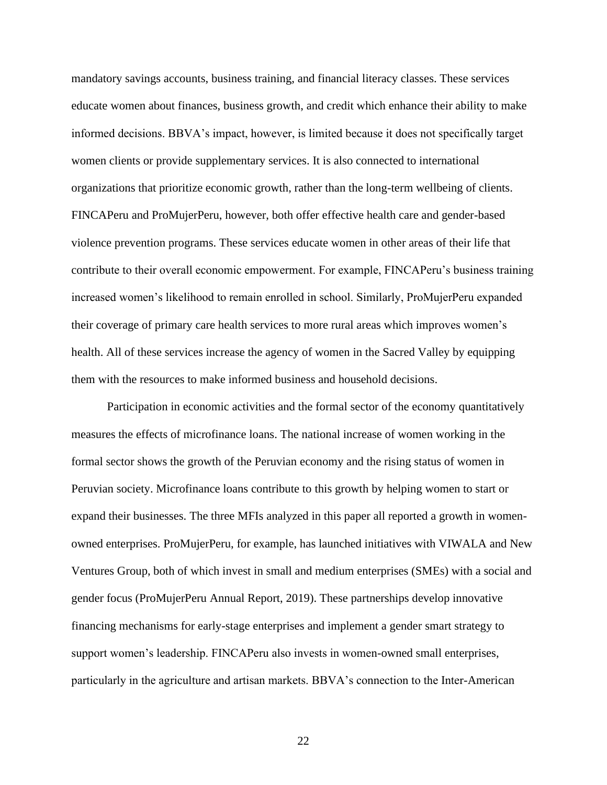mandatory savings accounts, business training, and financial literacy classes. These services educate women about finances, business growth, and credit which enhance their ability to make informed decisions. BBVA's impact, however, is limited because it does not specifically target women clients or provide supplementary services. It is also connected to international organizations that prioritize economic growth, rather than the long-term wellbeing of clients. FINCAPeru and ProMujerPeru, however, both offer effective health care and gender-based violence prevention programs. These services educate women in other areas of their life that contribute to their overall economic empowerment. For example, FINCAPeru's business training increased women's likelihood to remain enrolled in school. Similarly, ProMujerPeru expanded their coverage of primary care health services to more rural areas which improves women's health. All of these services increase the agency of women in the Sacred Valley by equipping them with the resources to make informed business and household decisions.

Participation in economic activities and the formal sector of the economy quantitatively measures the effects of microfinance loans. The national increase of women working in the formal sector shows the growth of the Peruvian economy and the rising status of women in Peruvian society. Microfinance loans contribute to this growth by helping women to start or expand their businesses. The three MFIs analyzed in this paper all reported a growth in womenowned enterprises. ProMujerPeru, for example, has launched initiatives with VIWALA and New Ventures Group, both of which invest in small and medium enterprises (SMEs) with a social and gender focus (ProMujerPeru Annual Report, 2019). These partnerships develop innovative financing mechanisms for early-stage enterprises and implement a gender smart strategy to support women's leadership. FINCAPeru also invests in women-owned small enterprises, particularly in the agriculture and artisan markets. BBVA's connection to the Inter-American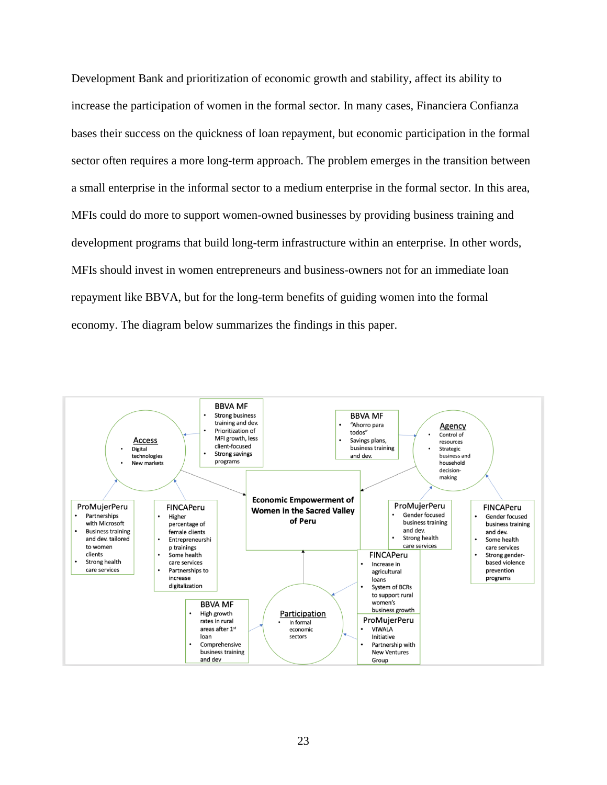Development Bank and prioritization of economic growth and stability, affect its ability to increase the participation of women in the formal sector. In many cases, Financiera Confianza bases their success on the quickness of loan repayment, but economic participation in the formal sector often requires a more long-term approach. The problem emerges in the transition between a small enterprise in the informal sector to a medium enterprise in the formal sector. In this area, MFIs could do more to support women-owned businesses by providing business training and development programs that build long-term infrastructure within an enterprise. In other words, MFIs should invest in women entrepreneurs and business-owners not for an immediate loan repayment like BBVA, but for the long-term benefits of guiding women into the formal economy. The diagram below summarizes the findings in this paper.

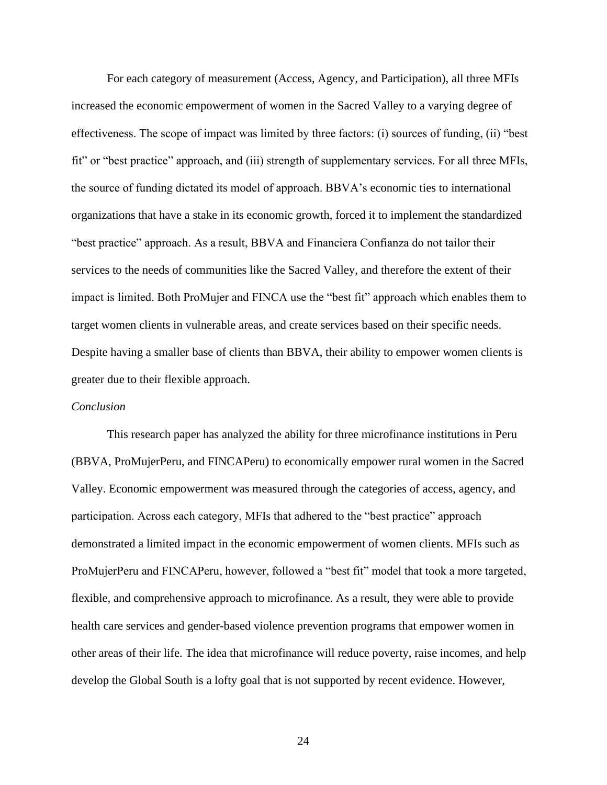For each category of measurement (Access, Agency, and Participation), all three MFIs increased the economic empowerment of women in the Sacred Valley to a varying degree of effectiveness. The scope of impact was limited by three factors: (i) sources of funding, (ii) "best fit" or "best practice" approach, and (iii) strength of supplementary services. For all three MFIs, the source of funding dictated its model of approach. BBVA's economic ties to international organizations that have a stake in its economic growth, forced it to implement the standardized "best practice" approach. As a result, BBVA and Financiera Confianza do not tailor their services to the needs of communities like the Sacred Valley, and therefore the extent of their impact is limited. Both ProMujer and FINCA use the "best fit" approach which enables them to target women clients in vulnerable areas, and create services based on their specific needs. Despite having a smaller base of clients than BBVA, their ability to empower women clients is greater due to their flexible approach.

# *Conclusion*

This research paper has analyzed the ability for three microfinance institutions in Peru (BBVA, ProMujerPeru, and FINCAPeru) to economically empower rural women in the Sacred Valley. Economic empowerment was measured through the categories of access, agency, and participation. Across each category, MFIs that adhered to the "best practice" approach demonstrated a limited impact in the economic empowerment of women clients. MFIs such as ProMujerPeru and FINCAPeru, however, followed a "best fit" model that took a more targeted, flexible, and comprehensive approach to microfinance. As a result, they were able to provide health care services and gender-based violence prevention programs that empower women in other areas of their life. The idea that microfinance will reduce poverty, raise incomes, and help develop the Global South is a lofty goal that is not supported by recent evidence. However,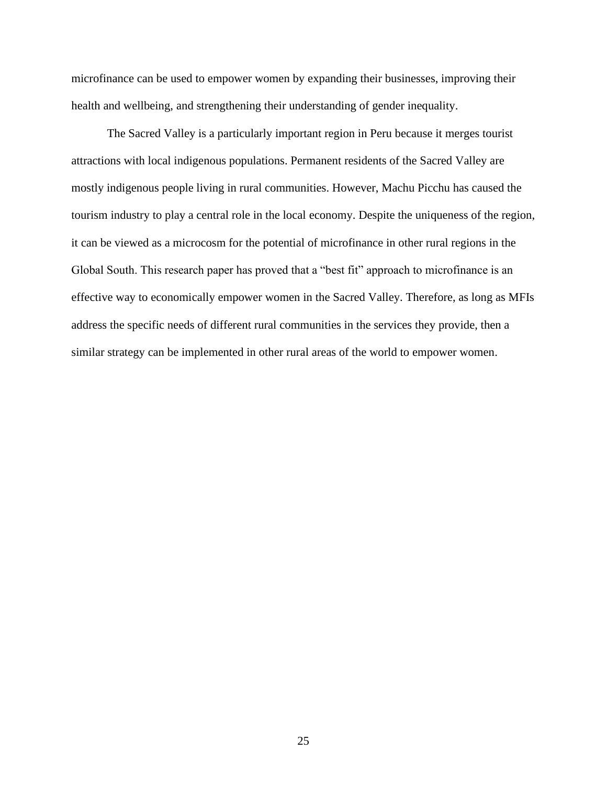microfinance can be used to empower women by expanding their businesses, improving their health and wellbeing, and strengthening their understanding of gender inequality.

The Sacred Valley is a particularly important region in Peru because it merges tourist attractions with local indigenous populations. Permanent residents of the Sacred Valley are mostly indigenous people living in rural communities. However, Machu Picchu has caused the tourism industry to play a central role in the local economy. Despite the uniqueness of the region, it can be viewed as a microcosm for the potential of microfinance in other rural regions in the Global South. This research paper has proved that a "best fit" approach to microfinance is an effective way to economically empower women in the Sacred Valley. Therefore, as long as MFIs address the specific needs of different rural communities in the services they provide, then a similar strategy can be implemented in other rural areas of the world to empower women.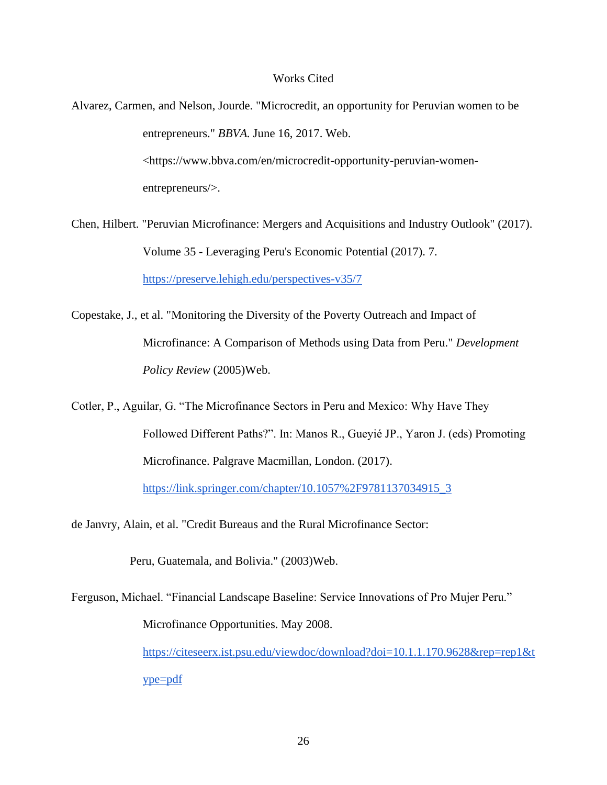# Works Cited

- Alvarez, Carmen, and Nelson, Jourde. "Microcredit, an opportunity for Peruvian women to be entrepreneurs." *BBVA.* June 16, 2017. Web. [<https://www.bbva.com/en/microcredit-opportunity-peruvian-women](https://www.bbva.com/en/microcredit-opportunity-peruvian-women-entrepreneurs/)[entrepreneurs/>](https://www.bbva.com/en/microcredit-opportunity-peruvian-women-entrepreneurs/).
- Chen, Hilbert. "Peruvian Microfinance: Mergers and Acquisitions and Industry Outlook" (2017). Volume 35 - Leveraging Peru's Economic Potential (2017). 7. <https://preserve.lehigh.edu/perspectives-v35/7>
- Copestake, J., et al. "Monitoring the Diversity of the Poverty Outreach and Impact of Microfinance: A Comparison of Methods using Data from Peru." *Development Policy Review* (2005)Web.
- Cotler, P., Aguilar, G. "The Microfinance Sectors in Peru and Mexico: Why Have They Followed Different Paths?". In: Manos R., Gueyié JP., Yaron J. (eds) Promoting Microfinance. Palgrave Macmillan, London. (2017).

[https://link.springer.com/chapter/10.1057%2F9781137034915\\_3](https://link.springer.com/chapter/10.1057%2F9781137034915_3)

de Janvry, Alain, et al. "Credit Bureaus and the Rural Microfinance Sector:

Peru, Guatemala, and Bolivia." (2003)Web.

Ferguson, Michael. "Financial Landscape Baseline: Service Innovations of Pro Mujer Peru." Microfinance Opportunities. May 2008.

> [https://citeseerx.ist.psu.edu/viewdoc/download?doi=10.1.1.170.9628&rep=rep1&t](https://citeseerx.ist.psu.edu/viewdoc/download?doi=10.1.1.170.9628&rep=rep1&type=pdf) [ype=pdf](https://citeseerx.ist.psu.edu/viewdoc/download?doi=10.1.1.170.9628&rep=rep1&type=pdf)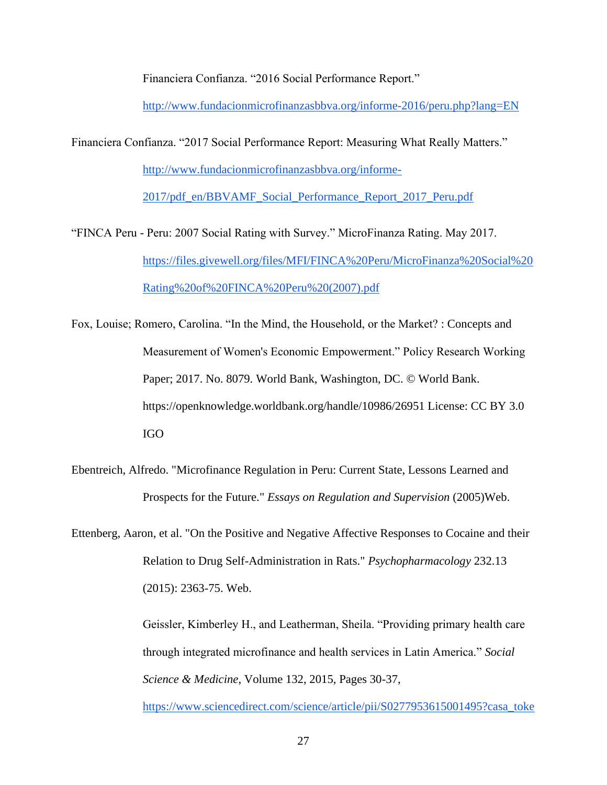Financiera Confianza. "2016 Social Performance Report."

<http://www.fundacionmicrofinanzasbbva.org/informe-2016/peru.php?lang=EN>

Financiera Confianza. "2017 Social Performance Report: Measuring What Really Matters."

[http://www.fundacionmicrofinanzasbbva.org/informe-](http://www.fundacionmicrofinanzasbbva.org/informe-2017/pdf_en/BBVAMF_Social_Performance_Report_2017_Peru.pdf)

[2017/pdf\\_en/BBVAMF\\_Social\\_Performance\\_Report\\_2017\\_Peru.pdf](http://www.fundacionmicrofinanzasbbva.org/informe-2017/pdf_en/BBVAMF_Social_Performance_Report_2017_Peru.pdf)

"FINCA Peru - Peru: 2007 Social Rating with Survey." MicroFinanza Rating. May 2017. [https://files.givewell.org/files/MFI/FINCA%20Peru/MicroFinanza%20Social%20](https://files.givewell.org/files/MFI/FINCA%20Peru/MicroFinanza%20Social%20Rating%20of%20FINCA%20Peru%20(2007).pdf) [Rating%20of%20FINCA%20Peru%20\(2007\).pdf](https://files.givewell.org/files/MFI/FINCA%20Peru/MicroFinanza%20Social%20Rating%20of%20FINCA%20Peru%20(2007).pdf)

Fox, Louise; Romero, Carolina. "In the Mind, the Household, or the Market? : Concepts and Measurement of Women's Economic Empowerment." Policy Research Working Paper; 2017. No. 8079. World Bank, Washington, DC. © World Bank. https://openknowledge.worldbank.org/handle/10986/26951 License: CC BY 3.0 IGO

Ebentreich, Alfredo. "Microfinance Regulation in Peru: Current State, Lessons Learned and Prospects for the Future." *Essays on Regulation and Supervision* (2005)Web.

Ettenberg, Aaron, et al. "On the Positive and Negative Affective Responses to Cocaine and their Relation to Drug Self-Administration in Rats." *Psychopharmacology* 232.13 (2015): 2363-75. Web.

> Geissler, Kimberley H., and Leatherman, Sheila. "Providing primary health care through integrated microfinance and health services in Latin America." *Social Science & Medicine*, Volume 132, 2015, Pages 30-37,

[https://www.sciencedirect.com/science/article/pii/S0277953615001495?casa\\_toke](https://www.sciencedirect.com/science/article/pii/S0277953615001495?casa_token=k-7i-13DigQAAAAA:1WPPpjO6Qq6m-QdOARadxYcwI0JGzosprZ_V5y98JRSr22gbyGurutkI8snNzkTelATUq3tiqs4#bib15)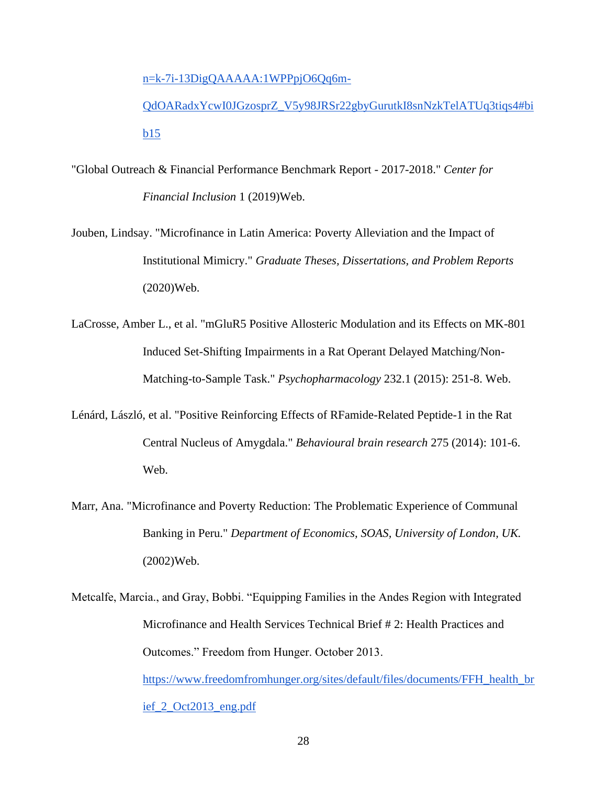[n=k-7i-13DigQAAAAA:1WPPpjO6Qq6m-](https://www.sciencedirect.com/science/article/pii/S0277953615001495?casa_token=k-7i-13DigQAAAAA:1WPPpjO6Qq6m-QdOARadxYcwI0JGzosprZ_V5y98JRSr22gbyGurutkI8snNzkTelATUq3tiqs4#bib15)

[QdOARadxYcwI0JGzosprZ\\_V5y98JRSr22gbyGurutkI8snNzkTelATUq3tiqs4#bi](https://www.sciencedirect.com/science/article/pii/S0277953615001495?casa_token=k-7i-13DigQAAAAA:1WPPpjO6Qq6m-QdOARadxYcwI0JGzosprZ_V5y98JRSr22gbyGurutkI8snNzkTelATUq3tiqs4#bib15) [b15](https://www.sciencedirect.com/science/article/pii/S0277953615001495?casa_token=k-7i-13DigQAAAAA:1WPPpjO6Qq6m-QdOARadxYcwI0JGzosprZ_V5y98JRSr22gbyGurutkI8snNzkTelATUq3tiqs4#bib15)

- "Global Outreach & Financial Performance Benchmark Report 2017-2018." *Center for Financial Inclusion* 1 (2019)Web.
- Jouben, Lindsay. "Microfinance in Latin America: Poverty Alleviation and the Impact of Institutional Mimicry." *Graduate Theses, Dissertations, and Problem Reports* (2020)Web.
- LaCrosse, Amber L., et al. "mGluR5 Positive Allosteric Modulation and its Effects on MK-801 Induced Set-Shifting Impairments in a Rat Operant Delayed Matching/Non-Matching-to-Sample Task." *Psychopharmacology* 232.1 (2015): 251-8. Web.
- Lénárd, László, et al. "Positive Reinforcing Effects of RFamide-Related Peptide-1 in the Rat Central Nucleus of Amygdala." *Behavioural brain research* 275 (2014): 101-6. Web.
- Marr, Ana. "Microfinance and Poverty Reduction: The Problematic Experience of Communal Banking in Peru." *Department of Economics, SOAS, University of London, UK.* (2002)Web.
- Metcalfe, Marcia., and Gray, Bobbi. "Equipping Families in the Andes Region with Integrated Microfinance and Health Services Technical Brief # 2: Health Practices and Outcomes." Freedom from Hunger. October 2013. [https://www.freedomfromhunger.org/sites/default/files/documents/FFH\\_health\\_br](https://www.freedomfromhunger.org/sites/default/files/documents/FFH_health_brief_2_Oct2013_eng.pdf) [ief\\_2\\_Oct2013\\_eng.pdf](https://www.freedomfromhunger.org/sites/default/files/documents/FFH_health_brief_2_Oct2013_eng.pdf)